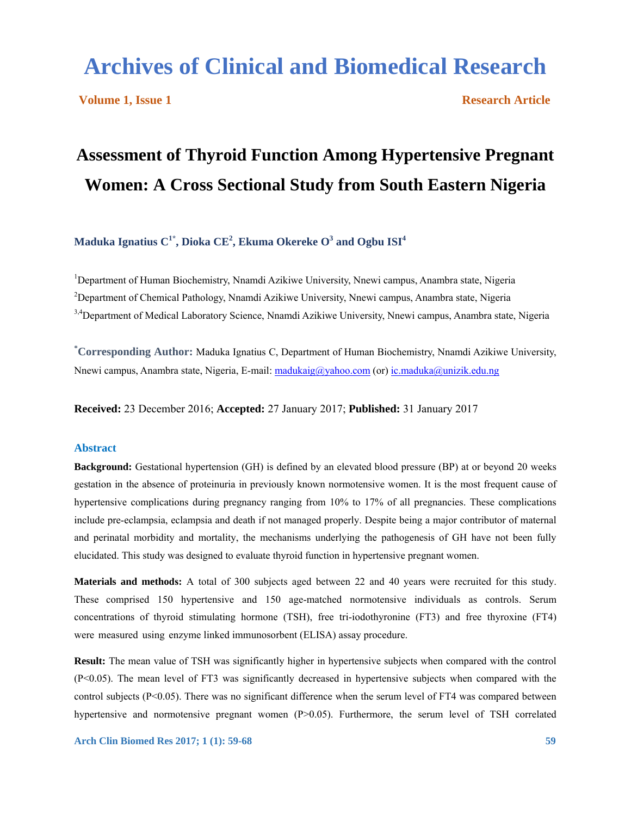# **Archives of Clinical and Biomedical Research**

**Volume 1, Issue 1 Research Article** 

# **Assessment of Thyroid Function Among Hypertensive Pregnant Women: A Cross Sectional Study from South Eastern Nigeria**

**Maduka Ignatius C<sup>1</sup>\* , Dioka CE<sup>2</sup> , Ekuma Okereke O 3 and Ogbu ISI<sup>4</sup>**

<sup>1</sup>Department of Human Biochemistry, Nnamdi Azikiwe University, Nnewi campus, Anambra state, Nigeria <sup>2</sup>Department of Chemical Pathology, Nnamdi Azikiwe University, Nnewi campus, Anambra state, Nigeria <sup>3,4</sup>Department of Medical Laboratory Science, Nnamdi Azikiwe University, Nnewi campus, Anambra state, Nigeria

**\* Corresponding Author:** Maduka Ignatius C, Department of Human Biochemistry, Nnamdi Azikiwe University, Nnewi campus, Anambra state, Nigeria, E-mail: madukaig@yahoo.com (or) ic.maduka@unizik.edu.ng

**Received:** 23 December 2016; **Accepted:** 27 January 2017; **Published:** 31 January 2017

## **Abstract**

**Background:** Gestational hypertension (GH) is defined by an elevated blood pressure (BP) at or beyond 20 weeks gestation in the absence of proteinuria in previously known normotensive women. It is the most frequent cause of hypertensive complications during pregnancy ranging from 10% to 17% of all pregnancies. These complications include pre-eclampsia, eclampsia and death if not managed properly. Despite being a major contributor of maternal and perinatal morbidity and mortality, the mechanisms underlying the pathogenesis of GH have not been fully elucidated. This study was designed to evaluate thyroid function in hypertensive pregnant women.

**Materials and methods:** A total of 300 subjects aged between 22 and 40 years were recruited for this study. These comprised 150 hypertensive and 150 age-matched normotensive individuals as controls. Serum concentrations of thyroid stimulating hormone (TSH), free tri-iodothyronine (FT3) and free thyroxine (FT4) were measured using enzyme linked immunosorbent (ELISA) assay procedure.

**Result:** The mean value of TSH was significantly higher in hypertensive subjects when compared with the control (P<0.05). The mean level of FT3 was significantly decreased in hypertensive subjects when compared with the control subjects (P<0.05). There was no significant difference when the serum level of FT4 was compared between hypertensive and normotensive pregnant women (P>0.05). Furthermore, the serum level of TSH correlated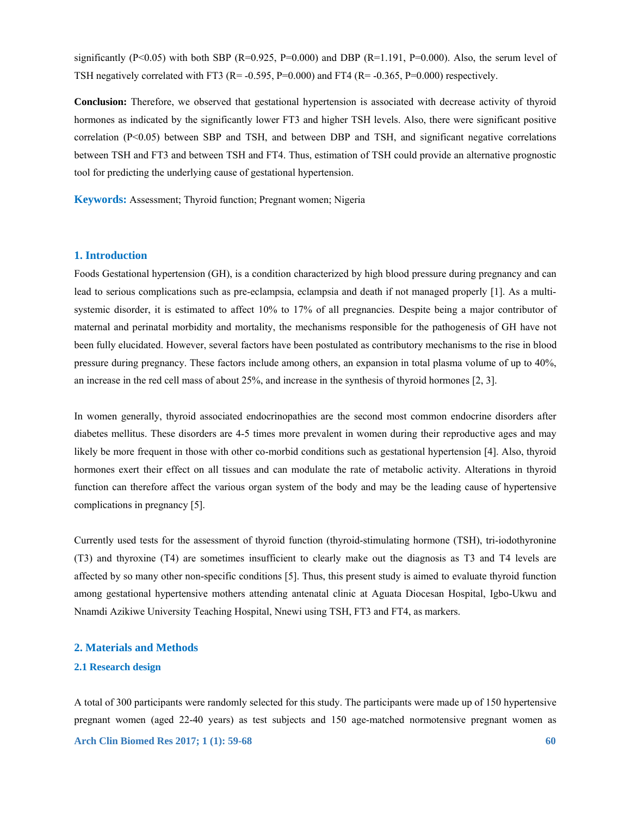significantly (P<0.05) with both SBP (R=0.925, P=0.000) and DBP (R=1.191, P=0.000). Also, the serum level of TSH negatively correlated with FT3 (R= -0.595, P=0.000) and FT4 (R= -0.365, P=0.000) respectively.

**Conclusion:** Therefore, we observed that gestational hypertension is associated with decrease activity of thyroid hormones as indicated by the significantly lower FT3 and higher TSH levels. Also, there were significant positive correlation (P<0.05) between SBP and TSH, and between DBP and TSH, and significant negative correlations between TSH and FT3 and between TSH and FT4. Thus, estimation of TSH could provide an alternative prognostic tool for predicting the underlying cause of gestational hypertension.

**Keywords:** Assessment; Thyroid function; Pregnant women; Nigeria

## **1. Introduction**

Foods Gestational hypertension (GH), is a condition characterized by high blood pressure during pregnancy and can lead to serious complications such as pre-eclampsia, eclampsia and death if not managed properly [1]. As a multisystemic disorder, it is estimated to affect 10% to 17% of all pregnancies. Despite being a major contributor of maternal and perinatal morbidity and mortality, the mechanisms responsible for the pathogenesis of GH have not been fully elucidated. However, several factors have been postulated as contributory mechanisms to the rise in blood pressure during pregnancy. These factors include among others, an expansion in total plasma volume of up to 40%, an increase in the red cell mass of about 25%, and increase in the synthesis of thyroid hormones [2, 3].

In women generally, thyroid associated endocrinopathies are the second most common endocrine disorders after diabetes mellitus. These disorders are 4-5 times more prevalent in women during their reproductive ages and may likely be more frequent in those with other co-morbid conditions such as gestational hypertension [4]. Also, thyroid hormones exert their effect on all tissues and can modulate the rate of metabolic activity. Alterations in thyroid function can therefore affect the various organ system of the body and may be the leading cause of hypertensive complications in pregnancy [5].

Currently used tests for the assessment of thyroid function (thyroid-stimulating hormone (TSH), tri-iodothyronine (T3) and thyroxine (T4) are sometimes insufficient to clearly make out the diagnosis as T3 and T4 levels are affected by so many other non-specific conditions [5]. Thus, this present study is aimed to evaluate thyroid function among gestational hypertensive mothers attending antenatal clinic at Aguata Diocesan Hospital, Igbo-Ukwu and Nnamdi Azikiwe University Teaching Hospital, Nnewi using TSH, FT3 and FT4, as markers.

# **2. Materials and Methods**

#### **2.1 Research design**

**Arch Clin Biomed Res 2017; 1 (1): 59-68 60** A total of 300 participants were randomly selected for this study. The participants were made up of 150 hypertensive pregnant women (aged 22-40 years) as test subjects and 150 age-matched normotensive pregnant women as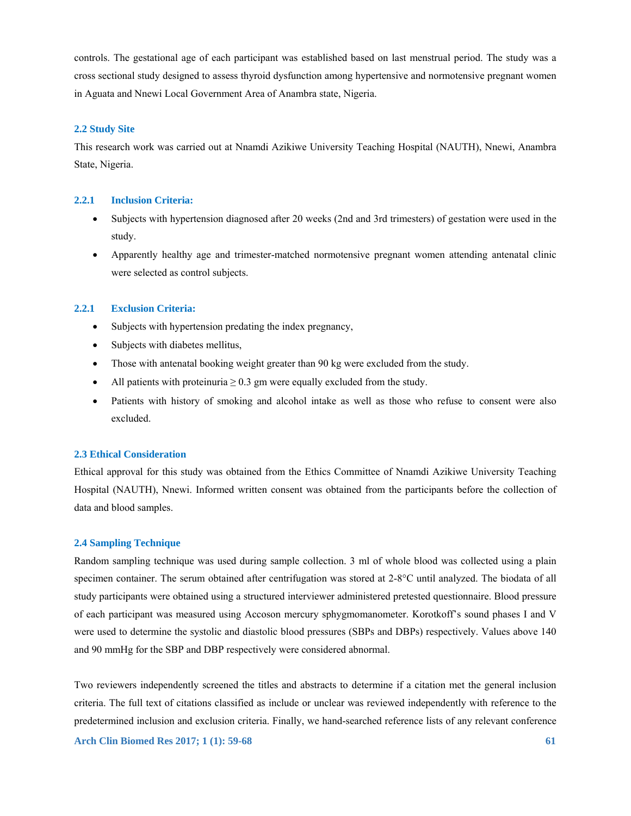controls. The gestational age of each participant was established based on last menstrual period. The study was a cross sectional study designed to assess thyroid dysfunction among hypertensive and normotensive pregnant women in Aguata and Nnewi Local Government Area of Anambra state, Nigeria.

#### **2.2 Study Site**

This research work was carried out at Nnamdi Azikiwe University Teaching Hospital (NAUTH), Nnewi, Anambra State, Nigeria.

#### **2.2.1 Inclusion Criteria:**

- Subjects with hypertension diagnosed after 20 weeks (2nd and 3rd trimesters) of gestation were used in the study.
- Apparently healthy age and trimester-matched normotensive pregnant women attending antenatal clinic were selected as control subjects.

#### **2.2.1 Exclusion Criteria:**

- Subjects with hypertension predating the index pregnancy,
- Subjects with diabetes mellitus,
- Those with antenatal booking weight greater than 90 kg were excluded from the study.
- All patients with proteinuria  $\geq 0.3$  gm were equally excluded from the study.
- Patients with history of smoking and alcohol intake as well as those who refuse to consent were also excluded.

#### **2.3 Ethical Consideration**

Ethical approval for this study was obtained from the Ethics Committee of Nnamdi Azikiwe University Teaching Hospital (NAUTH), Nnewi. Informed written consent was obtained from the participants before the collection of data and blood samples.

#### **2.4 Sampling Technique**

Random sampling technique was used during sample collection. 3 ml of whole blood was collected using a plain specimen container. The serum obtained after centrifugation was stored at 2-8°C until analyzed. The biodata of all study participants were obtained using a structured interviewer administered pretested questionnaire. Blood pressure of each participant was measured using Accoson mercury sphygmomanometer. Korotkoff's sound phases I and V were used to determine the systolic and diastolic blood pressures (SBPs and DBPs) respectively. Values above 140 and 90 mmHg for the SBP and DBP respectively were considered abnormal.

Two reviewers independently screened the titles and abstracts to determine if a citation met the general inclusion criteria. The full text of citations classified as include or unclear was reviewed independently with reference to the predetermined inclusion and exclusion criteria. Finally, we hand-searched reference lists of any relevant conference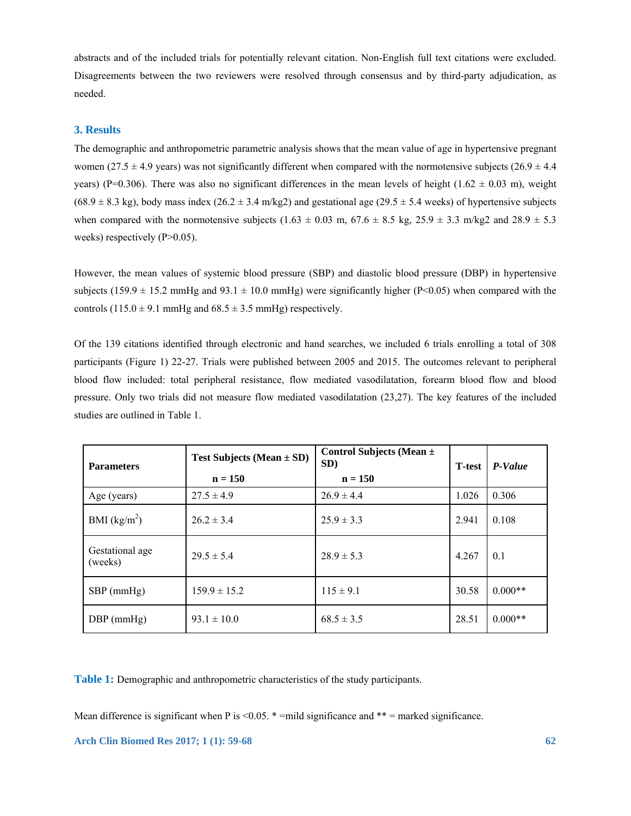abstracts and of the included trials for potentially relevant citation. Non-English full text citations were excluded. Disagreements between the two reviewers were resolved through consensus and by third-party adjudication, as needed.

## **3. Results**

The demographic and anthropometric parametric analysis shows that the mean value of age in hypertensive pregnant women (27.5  $\pm$  4.9 years) was not significantly different when compared with the normotensive subjects (26.9  $\pm$  4.4 years) (P=0.306). There was also no significant differences in the mean levels of height (1.62  $\pm$  0.03 m), weight  $(68.9 \pm 8.3 \text{ kg})$ , body mass index  $(26.2 \pm 3.4 \text{ m/kg2})$  and gestational age  $(29.5 \pm 5.4 \text{ weeks})$  of hypertensive subjects when compared with the normotensive subjects  $(1.63 \pm 0.03 \text{ m}, 67.6 \pm 8.5 \text{ kg}, 25.9 \pm 3.3 \text{ m/kg2}$  and  $28.9 \pm 5.3$ weeks) respectively (P>0.05).

However, the mean values of systemic blood pressure (SBP) and diastolic blood pressure (DBP) in hypertensive subjects (159.9  $\pm$  15.2 mmHg and 93.1  $\pm$  10.0 mmHg) were significantly higher (P<0.05) when compared with the controls  $(115.0 \pm 9.1 \text{ mmHg}$  and  $68.5 \pm 3.5 \text{ mmHg}$ ) respectively.

Of the 139 citations identified through electronic and hand searches, we included 6 trials enrolling a total of 308 participants (Figure 1) 22-27. Trials were published between 2005 and 2015. The outcomes relevant to peripheral blood flow included: total peripheral resistance, flow mediated vasodilatation, forearm blood flow and blood pressure. Only two trials did not measure flow mediated vasodilatation (23,27). The key features of the included studies are outlined in Table 1.

| <b>Parameters</b>          | <b>Test Subjects (Mean <math>\pm</math> SD)</b><br>$n = 150$ | Control Subjects (Mean ±<br>SD)<br>$n = 150$ | <b>T</b> -test | P-Value   |
|----------------------------|--------------------------------------------------------------|----------------------------------------------|----------------|-----------|
| Age (years)                | $27.5 \pm 4.9$                                               | $26.9 \pm 4.4$                               | 1.026          | 0.306     |
| BMI $(kg/m2)$              | $26.2 \pm 3.4$                                               | $25.9 \pm 3.3$                               | 2.941          | 0.108     |
| Gestational age<br>(weeks) | $29.5 \pm 5.4$                                               | $28.9 \pm 5.3$                               | 4.267          | 0.1       |
| $SBP$ (mmHg)               | $159.9 \pm 15.2$                                             | $115 \pm 9.1$                                | 30.58          | $0.000**$ |
| $DBP$ (mmHg)               | $93.1 \pm 10.0$                                              | $68.5 \pm 3.5$                               | 28.51          | $0.000**$ |

**Table 1:** Demographic and anthropometric characteristics of the study participants.

Mean difference is significant when P is  $\leq 0.05$ . \* =mild significance and \*\* = marked significance.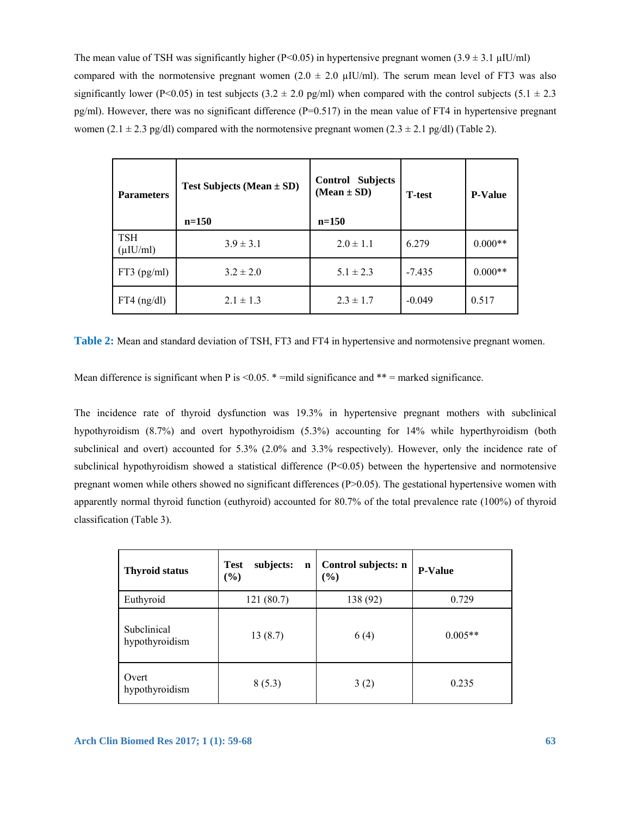The mean value of TSH was significantly higher (P<0.05) in hypertensive pregnant women  $(3.9 \pm 3.1 \text{ µU/mol})$ compared with the normotensive pregnant women  $(2.0 \pm 2.0 \text{ µIU/ml})$ . The serum mean level of FT3 was also significantly lower (P<0.05) in test subjects (3.2  $\pm$  2.0 pg/ml) when compared with the control subjects (5.1  $\pm$  2.3 pg/ml). However, there was no significant difference  $(P=0.517)$  in the mean value of FT4 in hypertensive pregnant women (2.1 ± 2.3 pg/dl) compared with the normotensive pregnant women (2.3 ± 2.1 pg/dl) (Table 2).

| <b>Parameters</b>            | <b>Test Subjects (Mean <math>\pm</math> SD)</b><br>$n = 150$ | <b>Subjects</b><br>Control<br>$(Mean \pm SD)$<br>$n=150$ | <b>T</b> -test | <b>P-Value</b> |
|------------------------------|--------------------------------------------------------------|----------------------------------------------------------|----------------|----------------|
| <b>TSH</b><br>$(\mu I U/ml)$ | $3.9 \pm 3.1$                                                | $2.0 \pm 1.1$                                            | 6.279          | $0.000**$      |
| $FT3$ (pg/ml)                | $3.2 \pm 2.0$                                                | $5.1 \pm 2.3$                                            | $-7.435$       | $0.000**$      |
| $FT4$ (ng/dl)                | $2.1 \pm 1.3$                                                | $2.3 \pm 1.7$                                            | $-0.049$       | 0.517          |

**Table 2:** Mean and standard deviation of TSH, FT3 and FT4 in hypertensive and normotensive pregnant women.

Mean difference is significant when P is  $\leq 0.05$ . \* =mild significance and \*\* = marked significance.

The incidence rate of thyroid dysfunction was 19.3% in hypertensive pregnant mothers with subclinical hypothyroidism (8.7%) and overt hypothyroidism (5.3%) accounting for 14% while hyperthyroidism (both subclinical and overt) accounted for 5.3% (2.0% and 3.3% respectively). However, only the incidence rate of subclinical hypothyroidism showed a statistical difference  $(P<0.05)$  between the hypertensive and normotensive pregnant women while others showed no significant differences (P>0.05). The gestational hypertensive women with apparently normal thyroid function (euthyroid) accounted for 80.7% of the total prevalence rate (100%) of thyroid classification (Table 3).

| <b>Thyroid status</b>         | subjects:<br><b>Test</b><br>$\mathbf n$<br>(%) | Control subjects: n<br>(%) | <b>P-Value</b> |
|-------------------------------|------------------------------------------------|----------------------------|----------------|
| Euthyroid                     | 121 (80.7)                                     | 138 (92)                   | 0.729          |
| Subclinical<br>hypothyroidism | 13(8.7)                                        | 6(4)                       | $0.005**$      |
| Overt<br>hypothyroidism       | 8(5.3)                                         | 3(2)                       | 0.235          |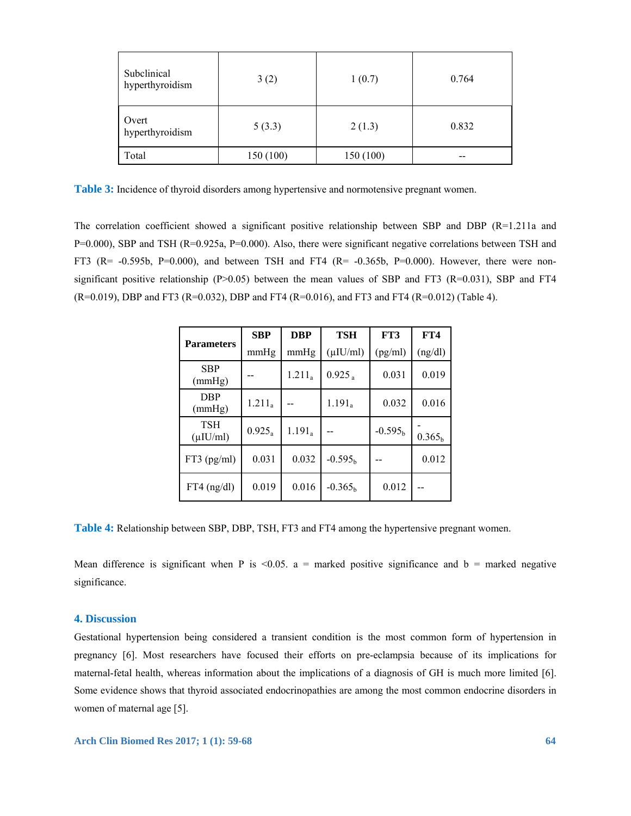| Subclinical<br>hyperthyroidism | 3(2)      | 1(0.7)    | 0.764 |  |
|--------------------------------|-----------|-----------|-------|--|
| Overt<br>hyperthyroidism       | 5(3.3)    | 2(1.3)    | 0.832 |  |
| Total                          | 150 (100) | 150 (100) |       |  |

**Table 3:** Incidence of thyroid disorders among hypertensive and normotensive pregnant women.

The correlation coefficient showed a significant positive relationship between SBP and DBP (R=1.211a and P=0.000), SBP and TSH (R=0.925a, P=0.000). Also, there were significant negative correlations between TSH and FT3 (R=  $-0.595b$ , P=0.000), and between TSH and FT4 (R=  $-0.365b$ , P=0.000). However, there were nonsignificant positive relationship (P $>0.05$ ) between the mean values of SBP and FT3 (R=0.031), SBP and FT4 (R=0.019), DBP and FT3 (R=0.032), DBP and FT4 (R=0.016), and FT3 and FT4 (R=0.012) (Table 4).

| <b>Parameters</b>            | <b>SBP</b> | <b>DBP</b> | TSH                  | FT3       | FT4                |
|------------------------------|------------|------------|----------------------|-----------|--------------------|
|                              | mmHg       | mmHg       | $(\mu$ IU/ml)        | (pg/ml)   | (ng/dl)            |
| <b>SBP</b><br>(mmHg)         |            | $1.211_a$  | $0.925$ <sub>a</sub> | 0.031     | 0.019              |
| <b>DBP</b><br>(mmHg)         | $1.211_a$  |            | $1.191_a$            | 0.032     | 0.016              |
| <b>TSH</b><br>$(\mu I U/ml)$ | $0.925_a$  | $1.191_a$  |                      | $-0.595h$ | 0.365 <sub>h</sub> |
| $FT3$ (pg/ml)                | 0.031      | 0.032      | $-0.595b$            |           | 0.012              |
| $FT4$ (ng/dl)                | 0.019      | 0.016      | $-0.365h$            | 0.012     |                    |

**Table 4:** Relationship between SBP, DBP, TSH, FT3 and FT4 among the hypertensive pregnant women.

Mean difference is significant when P is  $\leq 0.05$ . a = marked positive significance and b = marked negative significance.

# **4. Discussion**

Gestational hypertension being considered a transient condition is the most common form of hypertension in pregnancy [6]. Most researchers have focused their efforts on pre-eclampsia because of its implications for maternal-fetal health, whereas information about the implications of a diagnosis of GH is much more limited [6]. Some evidence shows that thyroid associated endocrinopathies are among the most common endocrine disorders in women of maternal age [5].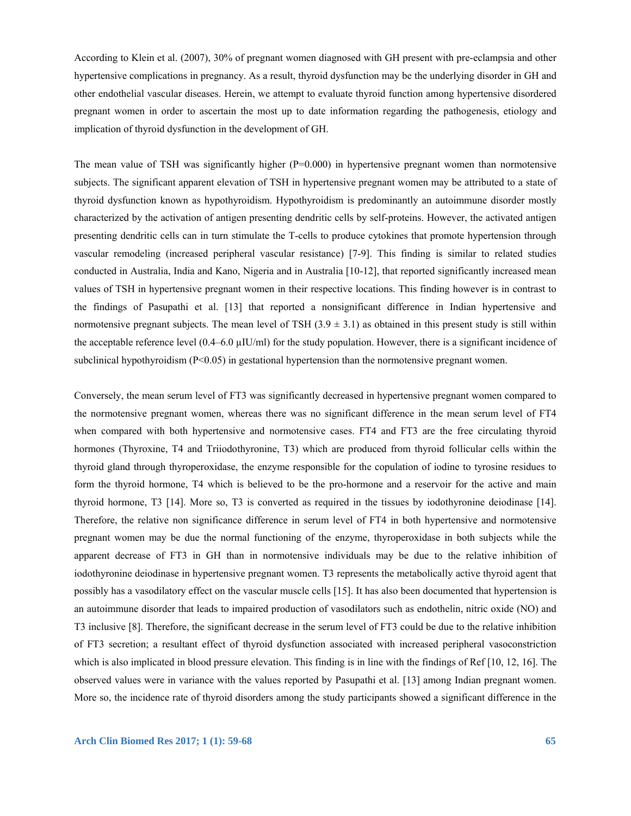According to Klein et al. (2007), 30% of pregnant women diagnosed with GH present with pre-eclampsia and other hypertensive complications in pregnancy. As a result, thyroid dysfunction may be the underlying disorder in GH and other endothelial vascular diseases. Herein, we attempt to evaluate thyroid function among hypertensive disordered pregnant women in order to ascertain the most up to date information regarding the pathogenesis, etiology and implication of thyroid dysfunction in the development of GH.

The mean value of TSH was significantly higher  $(P=0.000)$  in hypertensive pregnant women than normotensive subjects. The significant apparent elevation of TSH in hypertensive pregnant women may be attributed to a state of thyroid dysfunction known as hypothyroidism. Hypothyroidism is predominantly an autoimmune disorder mostly characterized by the activation of antigen presenting dendritic cells by self-proteins. However, the activated antigen presenting dendritic cells can in turn stimulate the T-cells to produce cytokines that promote hypertension through vascular remodeling (increased peripheral vascular resistance) [7-9]. This finding is similar to related studies conducted in Australia, India and Kano, Nigeria and in Australia [10-12], that reported significantly increased mean values of TSH in hypertensive pregnant women in their respective locations. This finding however is in contrast to the findings of Pasupathi et al. [13] that reported a nonsignificant difference in Indian hypertensive and normotensive pregnant subjects. The mean level of TSH  $(3.9 \pm 3.1)$  as obtained in this present study is still within the acceptable reference level  $(0.4–6.0 \text{ uIU/ml})$  for the study population. However, there is a significant incidence of subclinical hypothyroidism (P<0.05) in gestational hypertension than the normotensive pregnant women.

Conversely, the mean serum level of FT3 was significantly decreased in hypertensive pregnant women compared to the normotensive pregnant women, whereas there was no significant difference in the mean serum level of FT4 when compared with both hypertensive and normotensive cases. FT4 and FT3 are the free circulating thyroid hormones (Thyroxine, T4 and Triiodothyronine, T3) which are produced from thyroid follicular cells within the thyroid gland through thyroperoxidase, the enzyme responsible for the copulation of iodine to tyrosine residues to form the thyroid hormone, T4 which is believed to be the pro-hormone and a reservoir for the active and main thyroid hormone, T3 [14]. More so, T3 is converted as required in the tissues by iodothyronine deiodinase [14]. Therefore, the relative non significance difference in serum level of FT4 in both hypertensive and normotensive pregnant women may be due the normal functioning of the enzyme, thyroperoxidase in both subjects while the apparent decrease of FT3 in GH than in normotensive individuals may be due to the relative inhibition of iodothyronine deiodinase in hypertensive pregnant women. T3 represents the metabolically active thyroid agent that possibly has a vasodilatory effect on the vascular muscle cells [15]. It has also been documented that hypertension is an autoimmune disorder that leads to impaired production of vasodilators such as endothelin, nitric oxide (NO) and T3 inclusive [8]. Therefore, the significant decrease in the serum level of FT3 could be due to the relative inhibition of FT3 secretion; a resultant effect of thyroid dysfunction associated with increased peripheral vasoconstriction which is also implicated in blood pressure elevation. This finding is in line with the findings of Ref [10, 12, 16]. The observed values were in variance with the values reported by Pasupathi et al. [13] among Indian pregnant women. More so, the incidence rate of thyroid disorders among the study participants showed a significant difference in the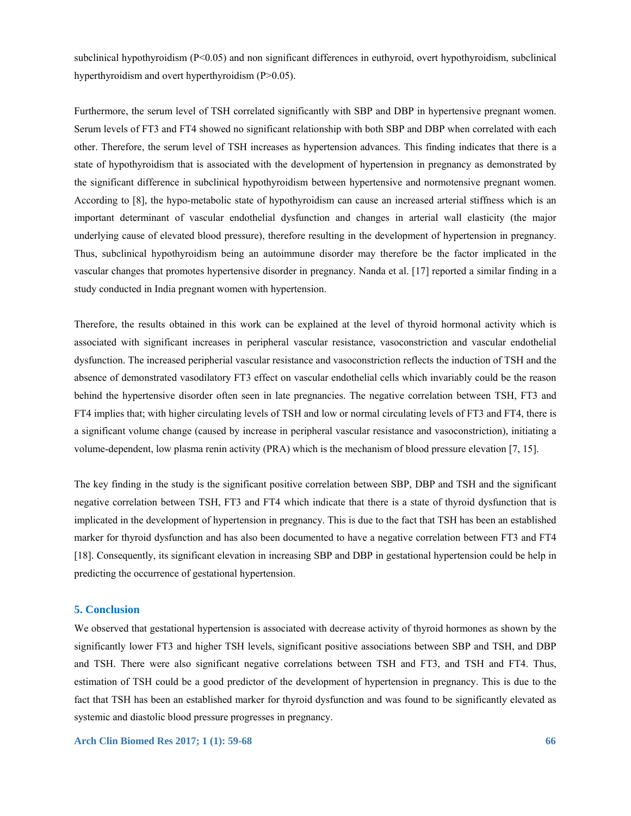subclinical hypothyroidism (P<0.05) and non significant differences in euthyroid, overt hypothyroidism, subclinical hyperthyroidism and overt hyperthyroidism (P>0.05).

Furthermore, the serum level of TSH correlated significantly with SBP and DBP in hypertensive pregnant women. Serum levels of FT3 and FT4 showed no significant relationship with both SBP and DBP when correlated with each other. Therefore, the serum level of TSH increases as hypertension advances. This finding indicates that there is a state of hypothyroidism that is associated with the development of hypertension in pregnancy as demonstrated by the significant difference in subclinical hypothyroidism between hypertensive and normotensive pregnant women. According to [8], the hypo-metabolic state of hypothyroidism can cause an increased arterial stiffness which is an important determinant of vascular endothelial dysfunction and changes in arterial wall elasticity (the major underlying cause of elevated blood pressure), therefore resulting in the development of hypertension in pregnancy. Thus, subclinical hypothyroidism being an autoimmune disorder may therefore be the factor implicated in the vascular changes that promotes hypertensive disorder in pregnancy. Nanda et al. [17] reported a similar finding in a study conducted in India pregnant women with hypertension.

Therefore, the results obtained in this work can be explained at the level of thyroid hormonal activity which is associated with significant increases in peripheral vascular resistance, vasoconstriction and vascular endothelial dysfunction. The increased peripherial vascular resistance and vasoconstriction reflects the induction of TSH and the absence of demonstrated vasodilatory FT3 effect on vascular endothelial cells which invariably could be the reason behind the hypertensive disorder often seen in late pregnancies. The negative correlation between TSH, FT3 and FT4 implies that; with higher circulating levels of TSH and low or normal circulating levels of FT3 and FT4, there is a significant volume change (caused by increase in peripheral vascular resistance and vasoconstriction), initiating a volume-dependent, low plasma renin activity (PRA) which is the mechanism of blood pressure elevation [7, 15].

The key finding in the study is the significant positive correlation between SBP, DBP and TSH and the significant negative correlation between TSH, FT3 and FT4 which indicate that there is a state of thyroid dysfunction that is implicated in the development of hypertension in pregnancy. This is due to the fact that TSH has been an established marker for thyroid dysfunction and has also been documented to have a negative correlation between FT3 and FT4 [18]. Consequently, its significant elevation in increasing SBP and DBP in gestational hypertension could be help in predicting the occurrence of gestational hypertension.

## **5. Conclusion**

We observed that gestational hypertension is associated with decrease activity of thyroid hormones as shown by the significantly lower FT3 and higher TSH levels, significant positive associations between SBP and TSH, and DBP and TSH. There were also significant negative correlations between TSH and FT3, and TSH and FT4. Thus, estimation of TSH could be a good predictor of the development of hypertension in pregnancy. This is due to the fact that TSH has been an established marker for thyroid dysfunction and was found to be significantly elevated as systemic and diastolic blood pressure progresses in pregnancy.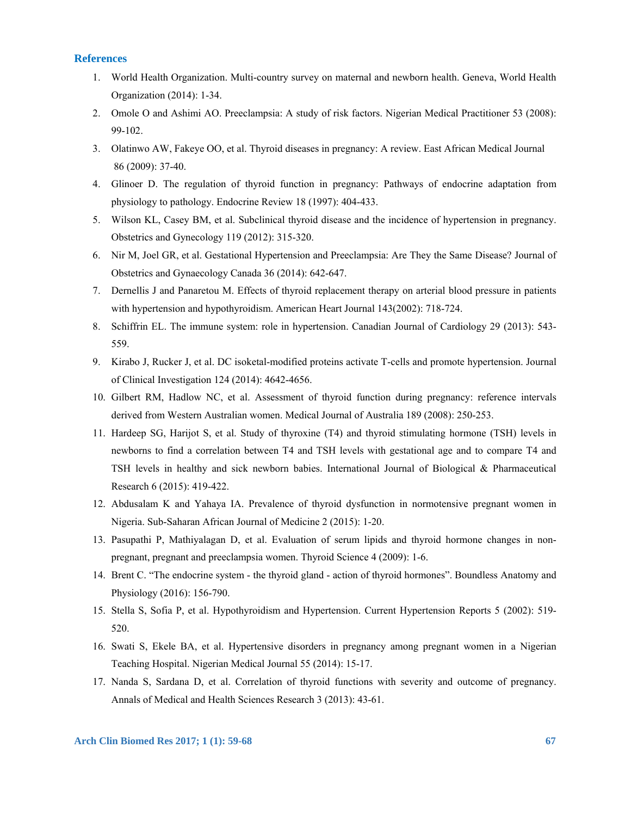## **References**

- 1. World Health Organization. Multi-country survey on maternal and newborn health. Geneva, World Health Organization (2014): 1-34.
- 2. Omole O and Ashimi AO. Preeclampsia: A study of risk factors. Nigerian Medical Practitioner 53 (2008): 99-102.
- 3. Olatinwo AW, Fakeye OO, et al. Thyroid diseases in pregnancy: A review. East African Medical Journal 86 (2009): 37-40.
- 4. Glinoer D. The regulation of thyroid function in pregnancy: Pathways of endocrine adaptation from physiology to pathology. Endocrine Review 18 (1997): 404-433.
- 5. Wilson KL, Casey BM, et al. Subclinical thyroid disease and the incidence of hypertension in pregnancy. Obstetrics and Gynecology 119 (2012): 315-320.
- 6. Nir M, Joel GR, et al. Gestational Hypertension and Preeclampsia: Are They the Same Disease? Journal of Obstetrics and Gynaecology Canada 36 (2014): 642-647.
- 7. Dernellis J and Panaretou M. Effects of thyroid replacement therapy on arterial blood pressure in patients with hypertension and hypothyroidism. American Heart Journal 143(2002): 718-724.
- 8. Schiffrin EL. The immune system: role in hypertension. Canadian Journal of Cardiology 29 (2013): 543- 559.
- 9. Kirabo J, Rucker J, et al. DC isoketal-modified proteins activate T-cells and promote hypertension. Journal of Clinical Investigation 124 (2014): 4642-4656.
- 10. Gilbert RM, Hadlow NC, et al. Assessment of thyroid function during pregnancy: reference intervals derived from Western Australian women. Medical Journal of Australia 189 (2008): 250-253.
- 11. Hardeep SG, Harijot S, et al. Study of thyroxine (T4) and thyroid stimulating hormone (TSH) levels in newborns to find a correlation between T4 and TSH levels with gestational age and to compare T4 and TSH levels in healthy and sick newborn babies. International Journal of Biological & Pharmaceutical Research 6 (2015): 419-422.
- 12. Abdusalam K and Yahaya IA. Prevalence of thyroid dysfunction in normotensive pregnant women in Nigeria. Sub-Saharan African Journal of Medicine 2 (2015): 1-20.
- 13. Pasupathi P, Mathiyalagan D, et al. Evaluation of serum lipids and thyroid hormone changes in nonpregnant, pregnant and preeclampsia women. Thyroid Science 4 (2009): 1-6.
- 14. Brent C. "The endocrine system the thyroid gland action of thyroid hormones". Boundless Anatomy and Physiology (2016): 156-790.
- 15. Stella S, Sofia P, et al. Hypothyroidism and Hypertension. Current Hypertension Reports 5 (2002): 519- 520.
- 16. Swati S, Ekele BA, et al. Hypertensive disorders in pregnancy among pregnant women in a Nigerian Teaching Hospital. Nigerian Medical Journal 55 (2014): 15-17.
- 17. Nanda S, Sardana D, et al. Correlation of thyroid functions with severity and outcome of pregnancy. Annals of Medical and Health Sciences Research 3 (2013): 43-61.